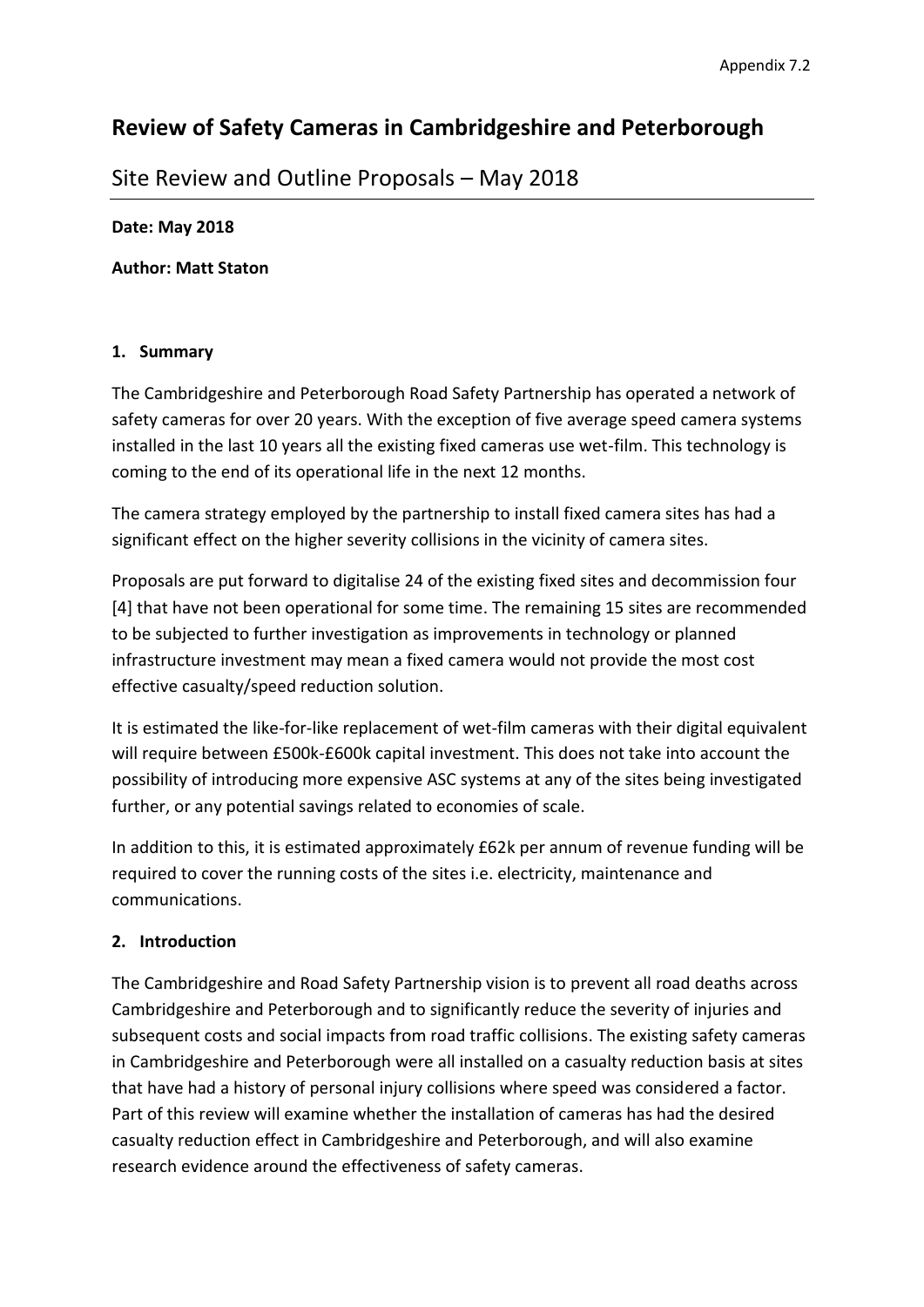# **Review of Safety Cameras in Cambridgeshire and Peterborough**

## Site Review and Outline Proposals – May 2018

### **Date: May 2018**

**Author: Matt Staton**

### **1. Summary**

The Cambridgeshire and Peterborough Road Safety Partnership has operated a network of safety cameras for over 20 years. With the exception of five average speed camera systems installed in the last 10 years all the existing fixed cameras use wet-film. This technology is coming to the end of its operational life in the next 12 months.

The camera strategy employed by the partnership to install fixed camera sites has had a significant effect on the higher severity collisions in the vicinity of camera sites.

Proposals are put forward to digitalise 24 of the existing fixed sites and decommission four [4] that have not been operational for some time. The remaining 15 sites are recommended to be subjected to further investigation as improvements in technology or planned infrastructure investment may mean a fixed camera would not provide the most cost effective casualty/speed reduction solution.

It is estimated the like-for-like replacement of wet-film cameras with their digital equivalent will require between £500k-£600k capital investment. This does not take into account the possibility of introducing more expensive ASC systems at any of the sites being investigated further, or any potential savings related to economies of scale.

In addition to this, it is estimated approximately £62k per annum of revenue funding will be required to cover the running costs of the sites i.e. electricity, maintenance and communications.

## **2. Introduction**

The Cambridgeshire and Road Safety Partnership vision is to prevent all road deaths across Cambridgeshire and Peterborough and to significantly reduce the severity of injuries and subsequent costs and social impacts from road traffic collisions. The existing safety cameras in Cambridgeshire and Peterborough were all installed on a casualty reduction basis at sites that have had a history of personal injury collisions where speed was considered a factor. Part of this review will examine whether the installation of cameras has had the desired casualty reduction effect in Cambridgeshire and Peterborough, and will also examine research evidence around the effectiveness of safety cameras.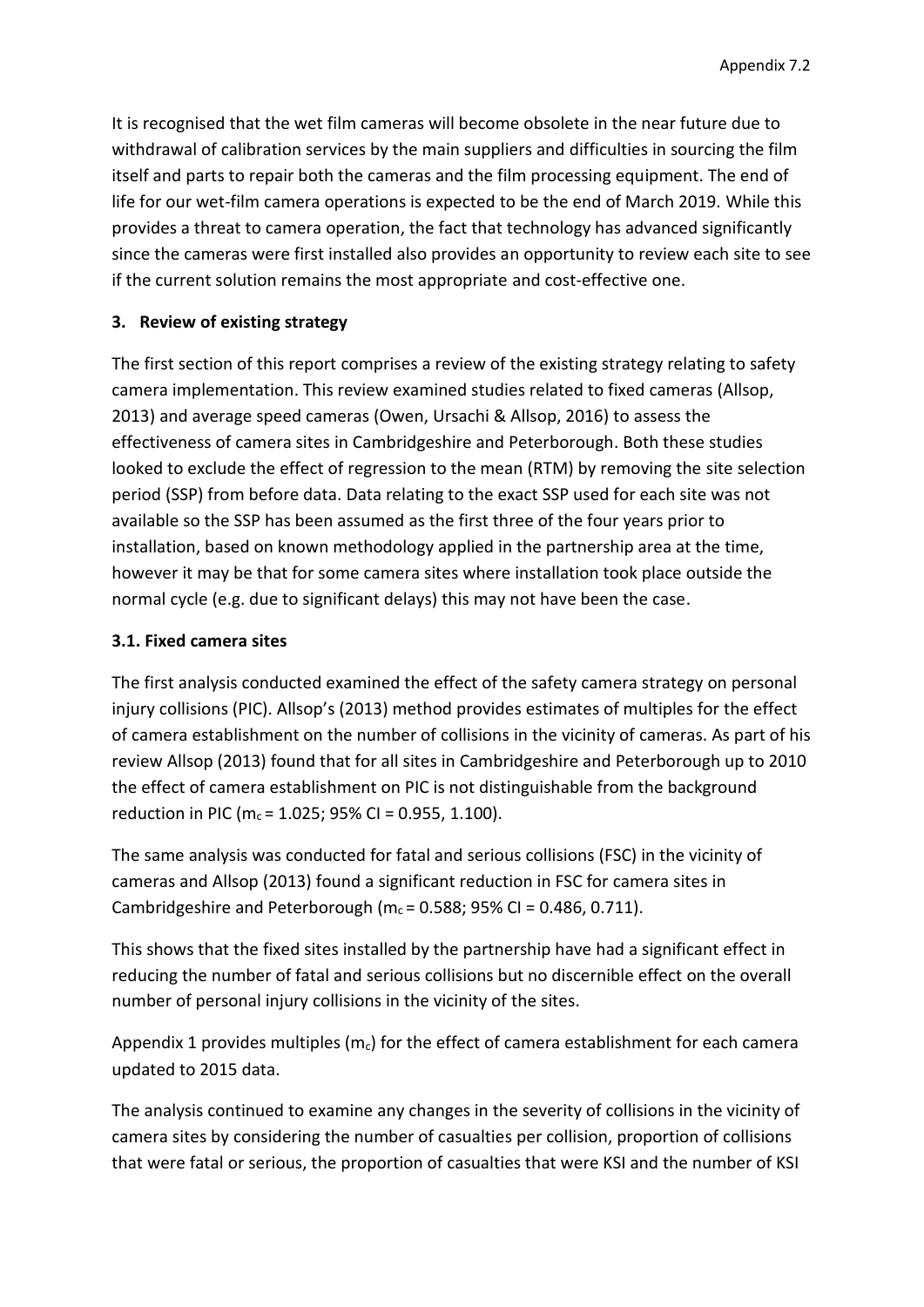It is recognised that the wet film cameras will become obsolete in the near future due to withdrawal of calibration services by the main suppliers and difficulties in sourcing the film itself and parts to repair both the cameras and the film processing equipment. The end of life for our wet-film camera operations is expected to be the end of March 2019. While this provides a threat to camera operation, the fact that technology has advanced significantly since the cameras were first installed also provides an opportunity to review each site to see if the current solution remains the most appropriate and cost-effective one.

## **3. Review of existing strategy**

The first section of this report comprises a review of the existing strategy relating to safety camera implementation. This review examined studies related to fixed cameras (Allsop, 2013) and average speed cameras (Owen, Ursachi & Allsop, 2016) to assess the effectiveness of camera sites in Cambridgeshire and Peterborough. Both these studies looked to exclude the effect of regression to the mean (RTM) by removing the site selection period (SSP) from before data. Data relating to the exact SSP used for each site was not available so the SSP has been assumed as the first three of the four years prior to installation, based on known methodology applied in the partnership area at the time, however it may be that for some camera sites where installation took place outside the normal cycle (e.g. due to significant delays) this may not have been the case.

## **3.1. Fixed camera sites**

The first analysis conducted examined the effect of the safety camera strategy on personal injury collisions (PIC). Allsop's (2013) method provides estimates of multiples for the effect of camera establishment on the number of collisions in the vicinity of cameras. As part of his review Allsop (2013) found that for all sites in Cambridgeshire and Peterborough up to 2010 the effect of camera establishment on PIC is not distinguishable from the background reduction in PIC ( $m_c$  = 1.025; 95% CI = 0.955, 1.100).

The same analysis was conducted for fatal and serious collisions (FSC) in the vicinity of cameras and Allsop (2013) found a significant reduction in FSC for camera sites in Cambridgeshire and Peterborough ( $m_c$  = 0.588; 95% CI = 0.486, 0.711).

This shows that the fixed sites installed by the partnership have had a significant effect in reducing the number of fatal and serious collisions but no discernible effect on the overall number of personal injury collisions in the vicinity of the sites.

Appendix 1 provides multiples ( $m<sub>c</sub>$ ) for the effect of camera establishment for each camera updated to 2015 data.

The analysis continued to examine any changes in the severity of collisions in the vicinity of camera sites by considering the number of casualties per collision, proportion of collisions that were fatal or serious, the proportion of casualties that were KSI and the number of KSI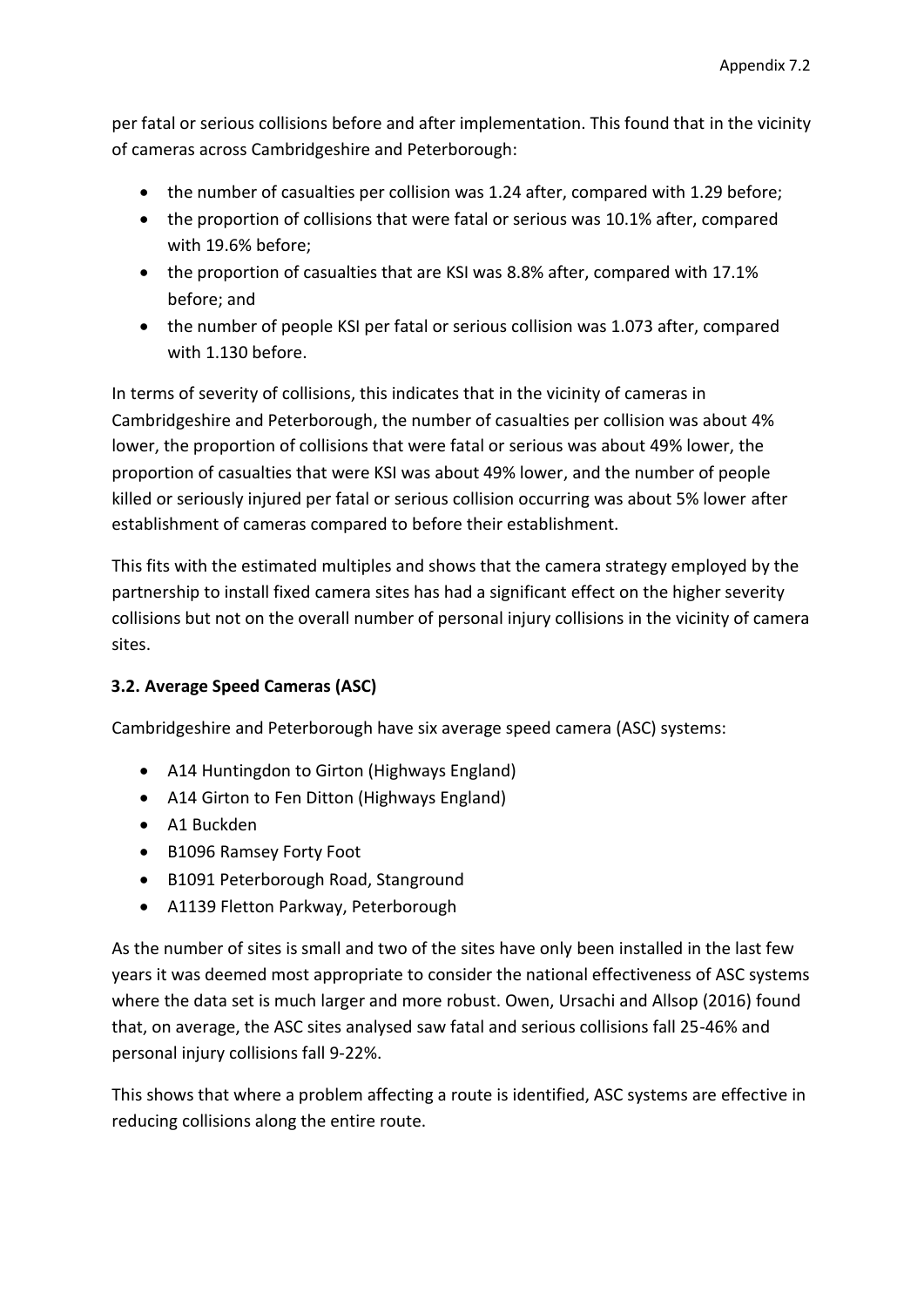per fatal or serious collisions before and after implementation. This found that in the vicinity of cameras across Cambridgeshire and Peterborough:

- the number of casualties per collision was 1.24 after, compared with 1.29 before;
- the proportion of collisions that were fatal or serious was 10.1% after, compared with 19.6% before;
- the proportion of casualties that are KSI was 8.8% after, compared with 17.1% before; and
- the number of people KSI per fatal or serious collision was 1.073 after, compared with 1.130 before.

In terms of severity of collisions, this indicates that in the vicinity of cameras in Cambridgeshire and Peterborough, the number of casualties per collision was about 4% lower, the proportion of collisions that were fatal or serious was about 49% lower, the proportion of casualties that were KSI was about 49% lower, and the number of people killed or seriously injured per fatal or serious collision occurring was about 5% lower after establishment of cameras compared to before their establishment.

This fits with the estimated multiples and shows that the camera strategy employed by the partnership to install fixed camera sites has had a significant effect on the higher severity collisions but not on the overall number of personal injury collisions in the vicinity of camera sites.

## **3.2. Average Speed Cameras (ASC)**

Cambridgeshire and Peterborough have six average speed camera (ASC) systems:

- A14 Huntingdon to Girton (Highways England)
- A14 Girton to Fen Ditton (Highways England)
- A1 Buckden
- B1096 Ramsey Forty Foot
- B1091 Peterborough Road, Stanground
- A1139 Fletton Parkway, Peterborough

As the number of sites is small and two of the sites have only been installed in the last few years it was deemed most appropriate to consider the national effectiveness of ASC systems where the data set is much larger and more robust. Owen, Ursachi and Allsop (2016) found that, on average, the ASC sites analysed saw fatal and serious collisions fall 25-46% and personal injury collisions fall 9-22%.

This shows that where a problem affecting a route is identified, ASC systems are effective in reducing collisions along the entire route.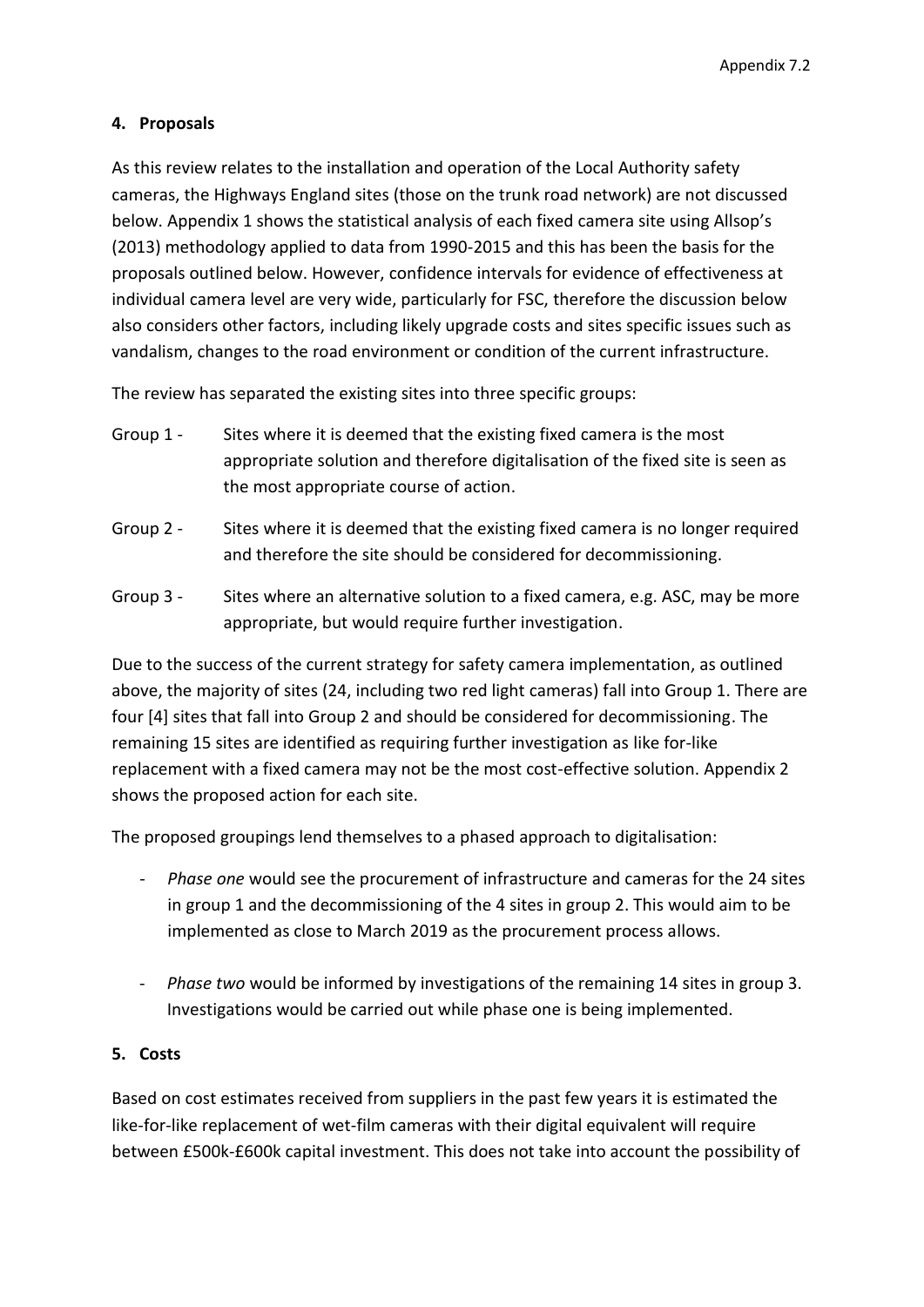## **4. Proposals**

As this review relates to the installation and operation of the Local Authority safety cameras, the Highways England sites (those on the trunk road network) are not discussed below. Appendix 1 shows the statistical analysis of each fixed camera site using Allsop's (2013) methodology applied to data from 1990-2015 and this has been the basis for the proposals outlined below. However, confidence intervals for evidence of effectiveness at individual camera level are very wide, particularly for FSC, therefore the discussion below also considers other factors, including likely upgrade costs and sites specific issues such as vandalism, changes to the road environment or condition of the current infrastructure.

The review has separated the existing sites into three specific groups:

- Group 1 Sites where it is deemed that the existing fixed camera is the most appropriate solution and therefore digitalisation of the fixed site is seen as the most appropriate course of action.
- Group 2 Sites where it is deemed that the existing fixed camera is no longer required and therefore the site should be considered for decommissioning.
- Group 3 Sites where an alternative solution to a fixed camera, e.g. ASC, may be more appropriate, but would require further investigation.

Due to the success of the current strategy for safety camera implementation, as outlined above, the majority of sites (24, including two red light cameras) fall into Group 1. There are four [4] sites that fall into Group 2 and should be considered for decommissioning. The remaining 15 sites are identified as requiring further investigation as like for-like replacement with a fixed camera may not be the most cost-effective solution. Appendix 2 shows the proposed action for each site.

The proposed groupings lend themselves to a phased approach to digitalisation:

- *Phase one* would see the procurement of infrastructure and cameras for the 24 sites in group 1 and the decommissioning of the 4 sites in group 2. This would aim to be implemented as close to March 2019 as the procurement process allows.
- *Phase two* would be informed by investigations of the remaining 14 sites in group 3. Investigations would be carried out while phase one is being implemented.

## **5. Costs**

Based on cost estimates received from suppliers in the past few years it is estimated the like-for-like replacement of wet-film cameras with their digital equivalent will require between £500k-£600k capital investment. This does not take into account the possibility of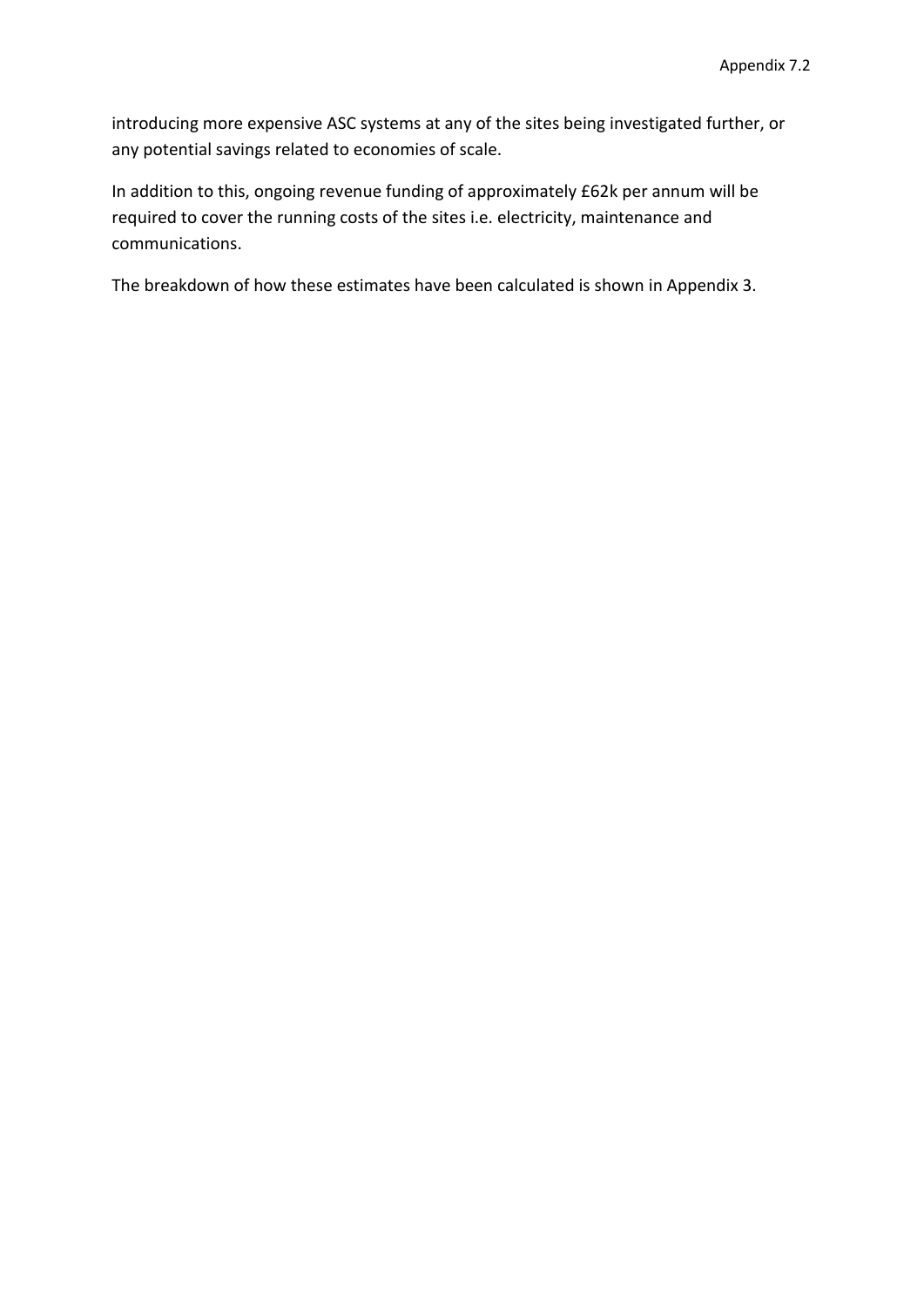introducing more expensive ASC systems at any of the sites being investigated further, or any potential savings related to economies of scale.

In addition to this, ongoing revenue funding of approximately £62k per annum will be required to cover the running costs of the sites i.e. electricity, maintenance and communications.

The breakdown of how these estimates have been calculated is shown in Appendix 3.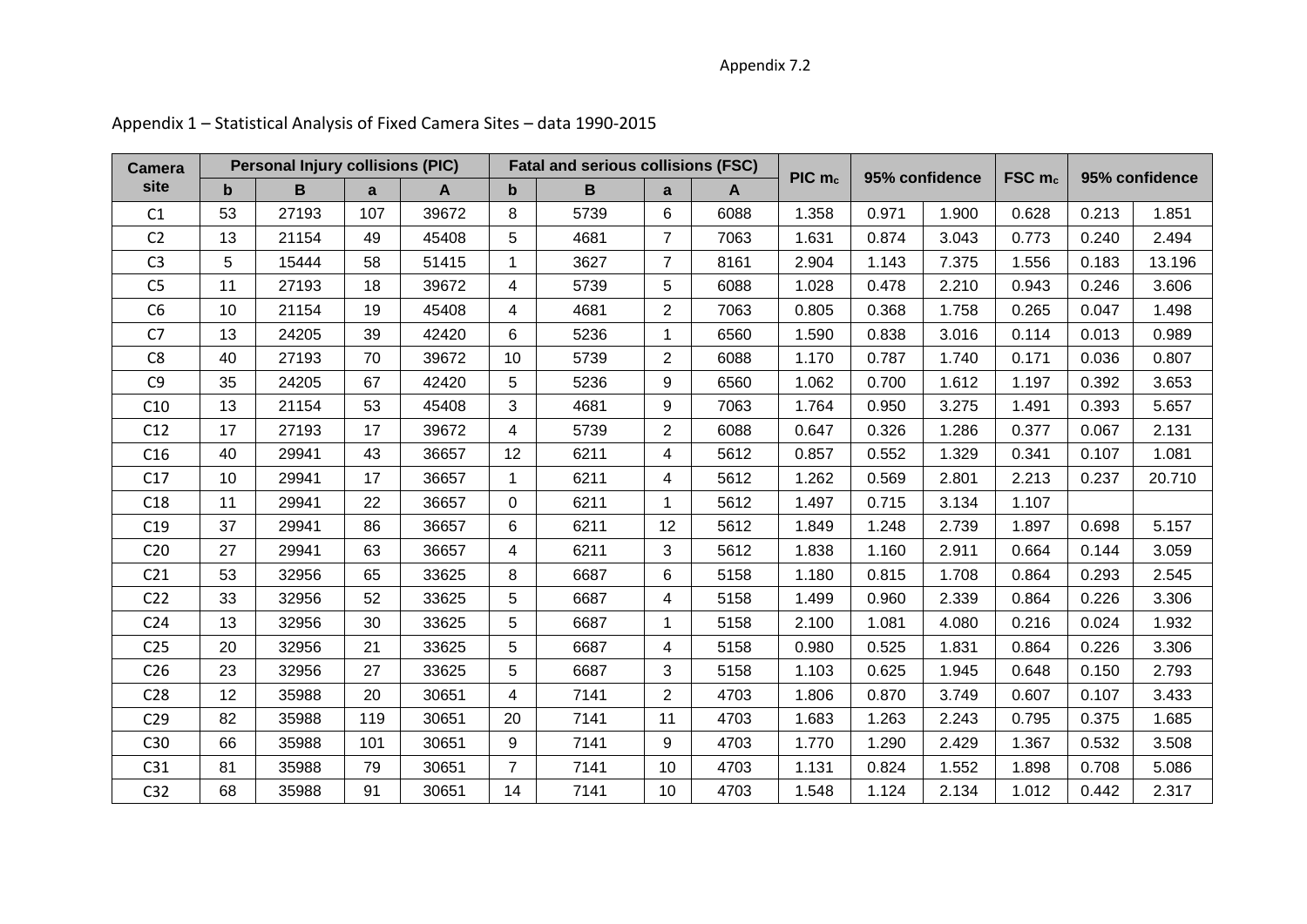## Appendix 7.2

| <b>Camera</b>   |             | <b>Personal Injury collisions (PIC)</b> |     |              |                |      | <b>Fatal and serious collisions (FSC)</b> |      | PIC <sub>mc</sub> | 95% confidence |       | FSCm <sub>c</sub> |       | 95% confidence |  |
|-----------------|-------------|-----------------------------------------|-----|--------------|----------------|------|-------------------------------------------|------|-------------------|----------------|-------|-------------------|-------|----------------|--|
| site            | $\mathbf b$ | B                                       | a   | $\mathbf{A}$ | b              | B    | a                                         | A    |                   |                |       |                   |       |                |  |
| C1              | 53          | 27193                                   | 107 | 39672        | 8              | 5739 | 6                                         | 6088 | 1.358             | 0.971          | 1.900 | 0.628             | 0.213 | 1.851          |  |
| C <sub>2</sub>  | 13          | 21154                                   | 49  | 45408        | 5              | 4681 | $\overline{7}$                            | 7063 | 1.631             | 0.874          | 3.043 | 0.773             | 0.240 | 2.494          |  |
| C <sub>3</sub>  | 5.          | 15444                                   | 58  | 51415        | 1              | 3627 | $\overline{7}$                            | 8161 | 2.904             | 1.143          | 7.375 | 1.556             | 0.183 | 13.196         |  |
| C <sub>5</sub>  | 11          | 27193                                   | 18  | 39672        | $\overline{4}$ | 5739 | 5                                         | 6088 | 1.028             | 0.478          | 2.210 | 0.943             | 0.246 | 3.606          |  |
| C <sub>6</sub>  | 10          | 21154                                   | 19  | 45408        | 4              | 4681 | $\overline{2}$                            | 7063 | 0.805             | 0.368          | 1.758 | 0.265             | 0.047 | 1.498          |  |
| C <sub>7</sub>  | 13          | 24205                                   | 39  | 42420        | 6              | 5236 | 1                                         | 6560 | 1.590             | 0.838          | 3.016 | 0.114             | 0.013 | 0.989          |  |
| C <sub>8</sub>  | 40          | 27193                                   | 70  | 39672        | 10             | 5739 | $\overline{2}$                            | 6088 | 1.170             | 0.787          | 1.740 | 0.171             | 0.036 | 0.807          |  |
| C <sub>9</sub>  | 35          | 24205                                   | 67  | 42420        | 5              | 5236 | 9                                         | 6560 | 1.062             | 0.700          | 1.612 | 1.197             | 0.392 | 3.653          |  |
| C10             | 13          | 21154                                   | 53  | 45408        | 3              | 4681 | 9                                         | 7063 | 1.764             | 0.950          | 3.275 | 1.491             | 0.393 | 5.657          |  |
| C12             | 17          | 27193                                   | 17  | 39672        | 4              | 5739 | $\overline{2}$                            | 6088 | 0.647             | 0.326          | 1.286 | 0.377             | 0.067 | 2.131          |  |
| C16             | 40          | 29941                                   | 43  | 36657        | 12             | 6211 | 4                                         | 5612 | 0.857             | 0.552          | 1.329 | 0.341             | 0.107 | 1.081          |  |
| C17             | 10          | 29941                                   | 17  | 36657        | 1              | 6211 | 4                                         | 5612 | 1.262             | 0.569          | 2.801 | 2.213             | 0.237 | 20.710         |  |
| C18             | 11          | 29941                                   | 22  | 36657        | 0              | 6211 | 1                                         | 5612 | 1.497             | 0.715          | 3.134 | 1.107             |       |                |  |
| C19             | 37          | 29941                                   | 86  | 36657        | 6              | 6211 | 12                                        | 5612 | 1.849             | 1.248          | 2.739 | 1.897             | 0.698 | 5.157          |  |
| C <sub>20</sub> | 27          | 29941                                   | 63  | 36657        | 4              | 6211 | 3                                         | 5612 | 1.838             | 1.160          | 2.911 | 0.664             | 0.144 | 3.059          |  |
| C <sub>21</sub> | 53          | 32956                                   | 65  | 33625        | 8              | 6687 | 6                                         | 5158 | 1.180             | 0.815          | 1.708 | 0.864             | 0.293 | 2.545          |  |
| C <sub>22</sub> | 33          | 32956                                   | 52  | 33625        | 5              | 6687 | 4                                         | 5158 | 1.499             | 0.960          | 2.339 | 0.864             | 0.226 | 3.306          |  |
| C <sub>24</sub> | 13          | 32956                                   | 30  | 33625        | 5              | 6687 | 1                                         | 5158 | 2.100             | 1.081          | 4.080 | 0.216             | 0.024 | 1.932          |  |
| C <sub>25</sub> | 20          | 32956                                   | 21  | 33625        | 5              | 6687 | 4                                         | 5158 | 0.980             | 0.525          | 1.831 | 0.864             | 0.226 | 3.306          |  |
| C <sub>26</sub> | 23          | 32956                                   | 27  | 33625        | 5              | 6687 | 3                                         | 5158 | 1.103             | 0.625          | 1.945 | 0.648             | 0.150 | 2.793          |  |
| C <sub>28</sub> | 12          | 35988                                   | 20  | 30651        | 4              | 7141 | $\overline{2}$                            | 4703 | 1.806             | 0.870          | 3.749 | 0.607             | 0.107 | 3.433          |  |
| C <sub>29</sub> | 82          | 35988                                   | 119 | 30651        | 20             | 7141 | 11                                        | 4703 | 1.683             | 1.263          | 2.243 | 0.795             | 0.375 | 1.685          |  |
| C <sub>30</sub> | 66          | 35988                                   | 101 | 30651        | 9              | 7141 | 9                                         | 4703 | 1.770             | 1.290          | 2.429 | 1.367             | 0.532 | 3.508          |  |
| C <sub>31</sub> | 81          | 35988                                   | 79  | 30651        | $\overline{7}$ | 7141 | 10                                        | 4703 | 1.131             | 0.824          | 1.552 | 1.898             | 0.708 | 5.086          |  |
| C32             | 68          | 35988                                   | 91  | 30651        | 14             | 7141 | 10                                        | 4703 | 1.548             | 1.124          | 2.134 | 1.012             | 0.442 | 2.317          |  |

# Appendix 1 – Statistical Analysis of Fixed Camera Sites – data 1990-2015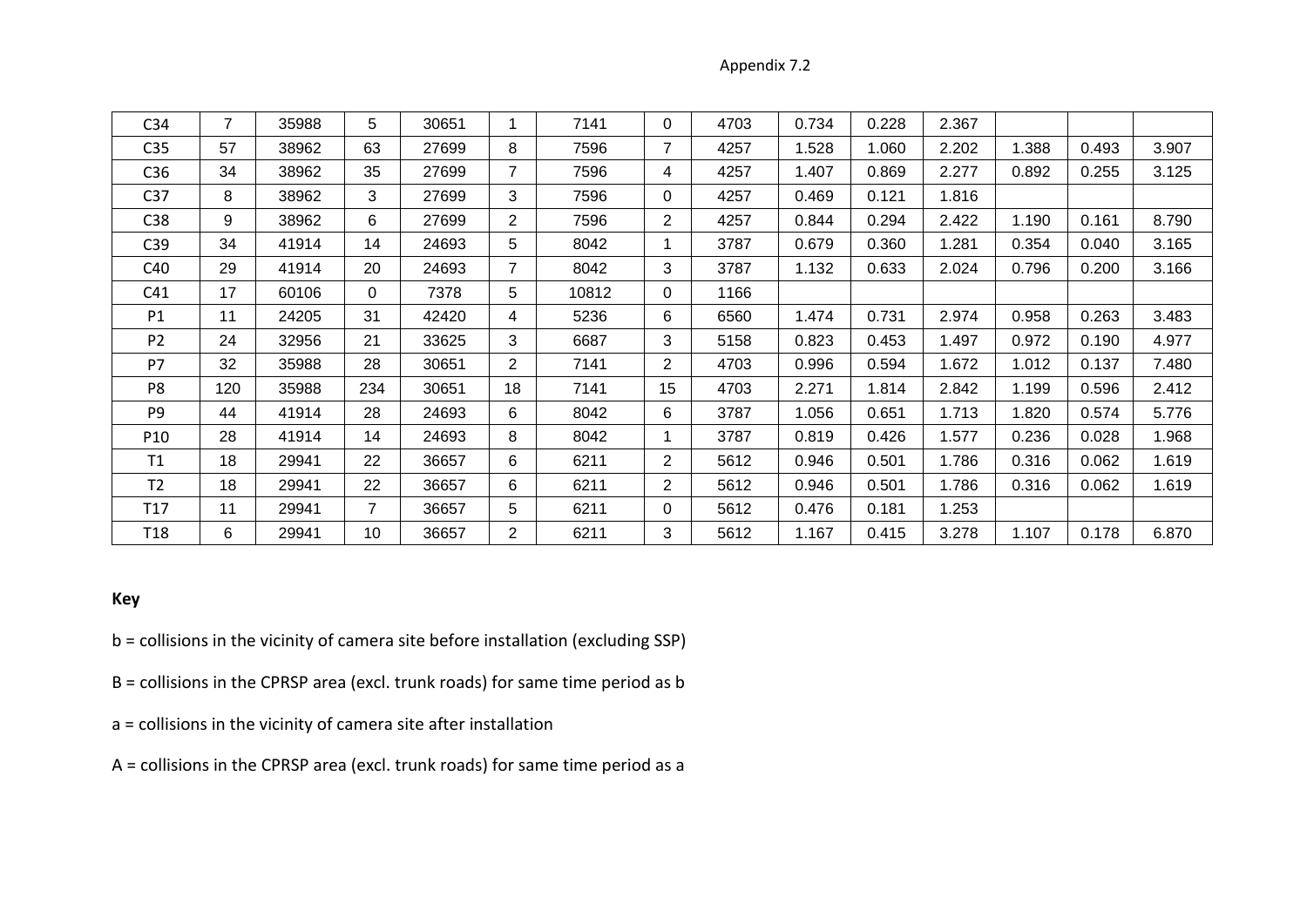Appendix 7.2

| C <sub>34</sub> | $\overline{7}$ | 35988 | 5        | 30651 |                | 7141  | $\Omega$ | 4703 | 0.734 | 0.228 | 2.367 |       |       |       |
|-----------------|----------------|-------|----------|-------|----------------|-------|----------|------|-------|-------|-------|-------|-------|-------|
| C <sub>35</sub> | 57             | 38962 | 63       | 27699 | 8              | 7596  | 7        | 4257 | 1.528 | 1.060 | 2.202 | 1.388 | 0.493 | 3.907 |
| C36             | 34             | 38962 | 35       | 27699 | 7              | 7596  | 4        | 4257 | 1.407 | 0.869 | 2.277 | 0.892 | 0.255 | 3.125 |
| C <sub>37</sub> | 8              | 38962 | 3        | 27699 | 3              | 7596  | 0        | 4257 | 0.469 | 0.121 | 1.816 |       |       |       |
| C38             | 9              | 38962 | 6        | 27699 | $\overline{2}$ | 7596  | 2        | 4257 | 0.844 | 0.294 | 2.422 | 1.190 | 0.161 | 8.790 |
| C39             | 34             | 41914 | 14       | 24693 | 5              | 8042  |          | 3787 | 0.679 | 0.360 | 1.281 | 0.354 | 0.040 | 3.165 |
| C40             | 29             | 41914 | 20       | 24693 | $\overline{7}$ | 8042  | 3        | 3787 | 1.132 | 0.633 | 2.024 | 0.796 | 0.200 | 3.166 |
| C <sub>41</sub> | 17             | 60106 | $\Omega$ | 7378  | 5              | 10812 | 0        | 1166 |       |       |       |       |       |       |
| P1              | 11             | 24205 | 31       | 42420 | 4              | 5236  | 6        | 6560 | 1.474 | 0.731 | 2.974 | 0.958 | 0.263 | 3.483 |
| P <sub>2</sub>  | 24             | 32956 | 21       | 33625 | 3              | 6687  | 3        | 5158 | 0.823 | 0.453 | 1.497 | 0.972 | 0.190 | 4.977 |
| P7              | 32             | 35988 | 28       | 30651 | $\overline{2}$ | 7141  | 2        | 4703 | 0.996 | 0.594 | 1.672 | 1.012 | 0.137 | 7.480 |
| P <sub>8</sub>  | 120            | 35988 | 234      | 30651 | 18             | 7141  | 15       | 4703 | 2.271 | 1.814 | 2.842 | 1.199 | 0.596 | 2.412 |
| P <sub>9</sub>  | 44             | 41914 | 28       | 24693 | 6              | 8042  | 6        | 3787 | 1.056 | 0.651 | 1.713 | 1.820 | 0.574 | 5.776 |
| P10             | 28             | 41914 | 14       | 24693 | 8              | 8042  |          | 3787 | 0.819 | 0.426 | 1.577 | 0.236 | 0.028 | 1.968 |
| T1              | 18             | 29941 | 22       | 36657 | 6              | 6211  | 2        | 5612 | 0.946 | 0.501 | 1.786 | 0.316 | 0.062 | 1.619 |
| T <sub>2</sub>  | 18             | 29941 | 22       | 36657 | 6              | 6211  | 2        | 5612 | 0.946 | 0.501 | 1.786 | 0.316 | 0.062 | 1.619 |
| T <sub>17</sub> | 11             | 29941 | 7        | 36657 | 5              | 6211  | 0        | 5612 | 0.476 | 0.181 | 1.253 |       |       |       |
| T <sub>18</sub> | 6              | 29941 | 10       | 36657 | $\overline{2}$ | 6211  | 3        | 5612 | 1.167 | 0.415 | 3.278 | 1.107 | 0.178 | 6.870 |

## **Key**

- b = collisions in the vicinity of camera site before installation (excluding SSP)
- B = collisions in the CPRSP area (excl. trunk roads) for same time period as b
- a = collisions in the vicinity of camera site after installation
- A = collisions in the CPRSP area (excl. trunk roads) for same time period as a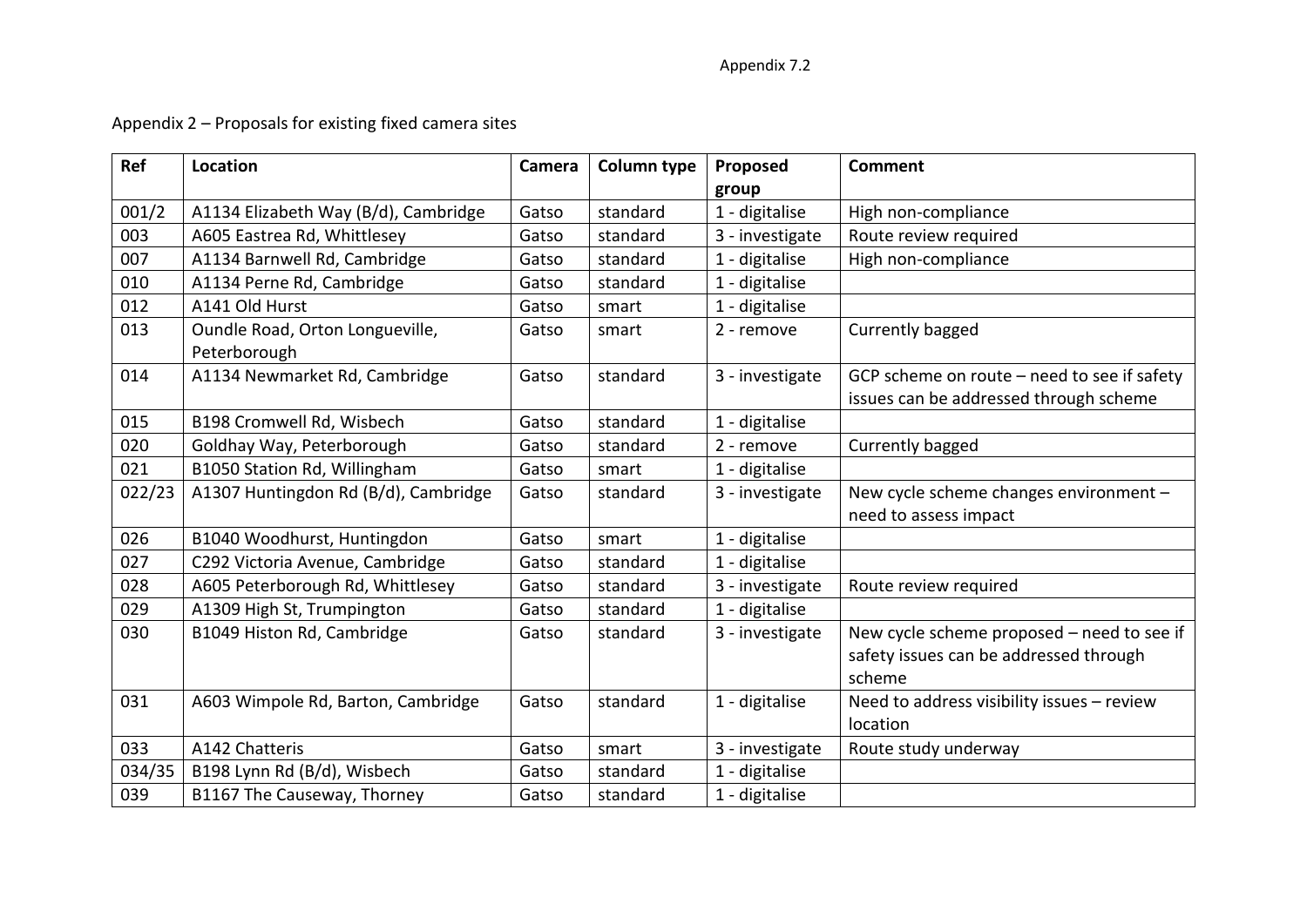# Appendix 2 – Proposals for existing fixed camera sites

| Ref    | Location                                        | Camera | <b>Column type</b> | Proposed        | <b>Comment</b>                                                                        |
|--------|-------------------------------------------------|--------|--------------------|-----------------|---------------------------------------------------------------------------------------|
|        |                                                 |        |                    | group           |                                                                                       |
| 001/2  | A1134 Elizabeth Way (B/d), Cambridge            | Gatso  | standard           | 1 - digitalise  | High non-compliance                                                                   |
| 003    | A605 Eastrea Rd, Whittlesey                     | Gatso  | standard           | 3 - investigate | Route review required                                                                 |
| 007    | A1134 Barnwell Rd, Cambridge                    | Gatso  | standard           | 1 - digitalise  | High non-compliance                                                                   |
| 010    | A1134 Perne Rd, Cambridge                       | Gatso  | standard           | 1 - digitalise  |                                                                                       |
| 012    | A141 Old Hurst                                  | Gatso  | smart              | 1 - digitalise  |                                                                                       |
| 013    | Oundle Road, Orton Longueville,<br>Peterborough | Gatso  | smart              | 2 - remove      | Currently bagged                                                                      |
| 014    | A1134 Newmarket Rd, Cambridge                   | Gatso  | standard           | 3 - investigate | GCP scheme on route - need to see if safety<br>issues can be addressed through scheme |
| 015    | B198 Cromwell Rd, Wisbech                       | Gatso  | standard           | 1 - digitalise  |                                                                                       |
| 020    | Goldhay Way, Peterborough                       | Gatso  | standard           | 2 - remove      | Currently bagged                                                                      |
| 021    | B1050 Station Rd, Willingham                    | Gatso  | smart              | 1 - digitalise  |                                                                                       |
| 022/23 | A1307 Huntingdon Rd (B/d), Cambridge            | Gatso  | standard           | 3 - investigate | New cycle scheme changes environment -                                                |
|        |                                                 |        |                    |                 | need to assess impact                                                                 |
| 026    | B1040 Woodhurst, Huntingdon                     | Gatso  | smart              | 1 - digitalise  |                                                                                       |
| 027    | C292 Victoria Avenue, Cambridge                 | Gatso  | standard           | 1 - digitalise  |                                                                                       |
| 028    | A605 Peterborough Rd, Whittlesey                | Gatso  | standard           | 3 - investigate | Route review required                                                                 |
| 029    | A1309 High St, Trumpington                      | Gatso  | standard           | 1 - digitalise  |                                                                                       |
| 030    | B1049 Histon Rd, Cambridge                      | Gatso  | standard           | 3 - investigate | New cycle scheme proposed - need to see if                                            |
|        |                                                 |        |                    |                 | safety issues can be addressed through                                                |
|        |                                                 |        |                    |                 | scheme                                                                                |
| 031    | A603 Wimpole Rd, Barton, Cambridge              | Gatso  | standard           | 1 - digitalise  | Need to address visibility issues - review                                            |
|        |                                                 |        |                    |                 | location                                                                              |
| 033    | A142 Chatteris                                  | Gatso  | smart              | 3 - investigate | Route study underway                                                                  |
| 034/35 | B198 Lynn Rd (B/d), Wisbech                     | Gatso  | standard           | 1 - digitalise  |                                                                                       |
| 039    | B1167 The Causeway, Thorney                     | Gatso  | standard           | 1 - digitalise  |                                                                                       |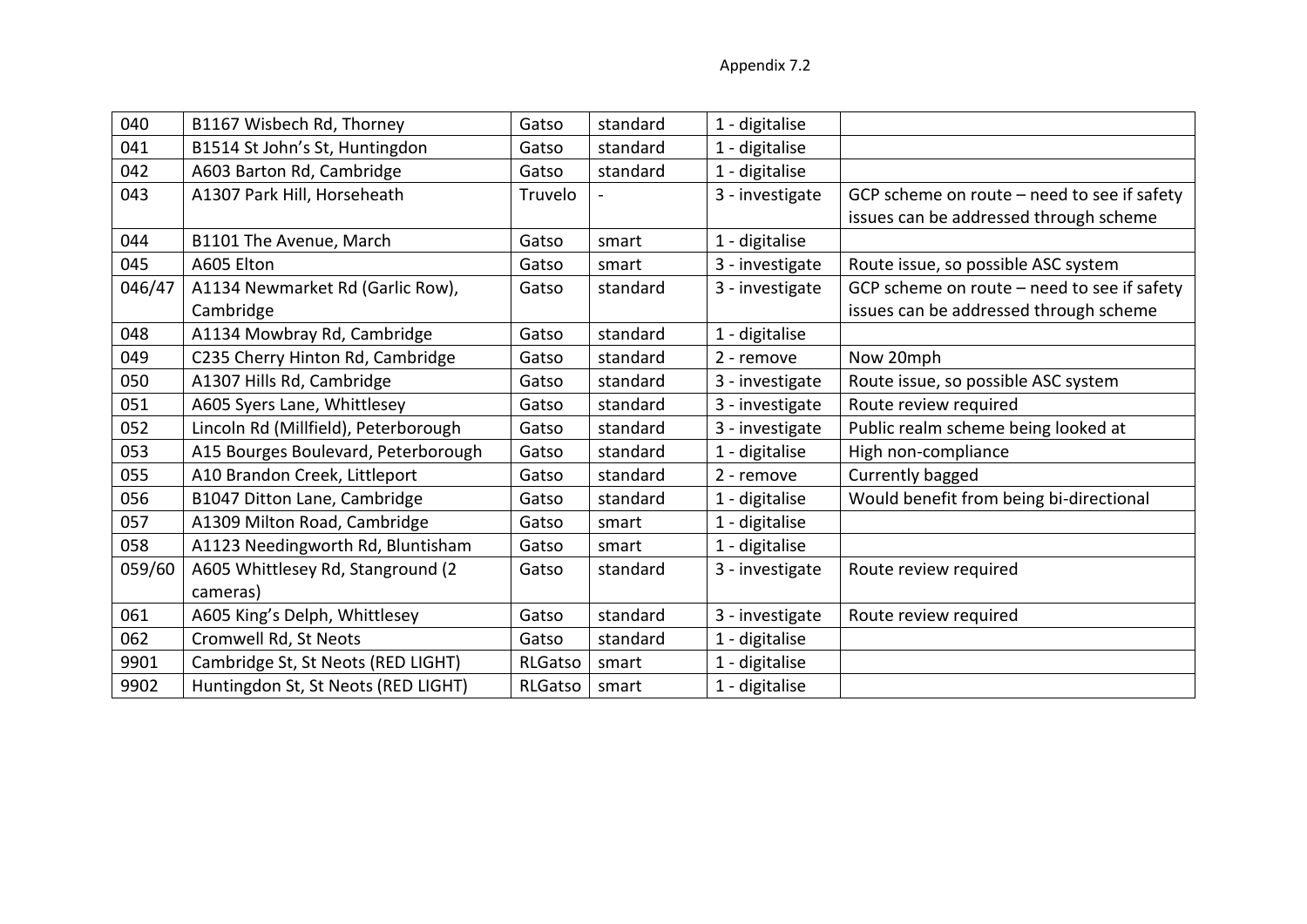| 040    | B1167 Wisbech Rd, Thorney            | Gatso   | standard | 1 - digitalise  |                                               |
|--------|--------------------------------------|---------|----------|-----------------|-----------------------------------------------|
| 041    | B1514 St John's St, Huntingdon       | Gatso   | standard | 1 - digitalise  |                                               |
| 042    | A603 Barton Rd, Cambridge            | Gatso   | standard | 1 - digitalise  |                                               |
| 043    | A1307 Park Hill, Horseheath          | Truvelo |          | 3 - investigate | GCP scheme on route $-$ need to see if safety |
|        |                                      |         |          |                 | issues can be addressed through scheme        |
| 044    | B1101 The Avenue, March              | Gatso   | smart    | 1 - digitalise  |                                               |
| 045    | A605 Elton                           | Gatso   | smart    | 3 - investigate | Route issue, so possible ASC system           |
| 046/47 | A1134 Newmarket Rd (Garlic Row),     | Gatso   | standard | 3 - investigate | GCP scheme on route - need to see if safety   |
|        | Cambridge                            |         |          |                 | issues can be addressed through scheme        |
| 048    | A1134 Mowbray Rd, Cambridge          | Gatso   | standard | 1 - digitalise  |                                               |
| 049    | C235 Cherry Hinton Rd, Cambridge     | Gatso   | standard | 2 - remove      | Now 20mph                                     |
| 050    | A1307 Hills Rd, Cambridge            | Gatso   | standard | 3 - investigate | Route issue, so possible ASC system           |
| 051    | A605 Syers Lane, Whittlesey          | Gatso   | standard | 3 - investigate | Route review required                         |
| 052    | Lincoln Rd (Millfield), Peterborough | Gatso   | standard | 3 - investigate | Public realm scheme being looked at           |
| 053    | A15 Bourges Boulevard, Peterborough  | Gatso   | standard | 1 - digitalise  | High non-compliance                           |
| 055    | A10 Brandon Creek, Littleport        | Gatso   | standard | 2 - remove      | Currently bagged                              |
| 056    | B1047 Ditton Lane, Cambridge         | Gatso   | standard | 1 - digitalise  | Would benefit from being bi-directional       |
| 057    | A1309 Milton Road, Cambridge         | Gatso   | smart    | 1 - digitalise  |                                               |
| 058    | A1123 Needingworth Rd, Bluntisham    | Gatso   | smart    | 1 - digitalise  |                                               |
| 059/60 | A605 Whittlesey Rd, Stanground (2)   | Gatso   | standard | 3 - investigate | Route review required                         |
|        | cameras)                             |         |          |                 |                                               |
| 061    | A605 King's Delph, Whittlesey        | Gatso   | standard | 3 - investigate | Route review required                         |
| 062    | Cromwell Rd, St Neots                | Gatso   | standard | 1 - digitalise  |                                               |
| 9901   | Cambridge St, St Neots (RED LIGHT)   | RLGatso | smart    | 1 - digitalise  |                                               |
| 9902   | Huntingdon St, St Neots (RED LIGHT)  | RLGatso | smart    | 1 - digitalise  |                                               |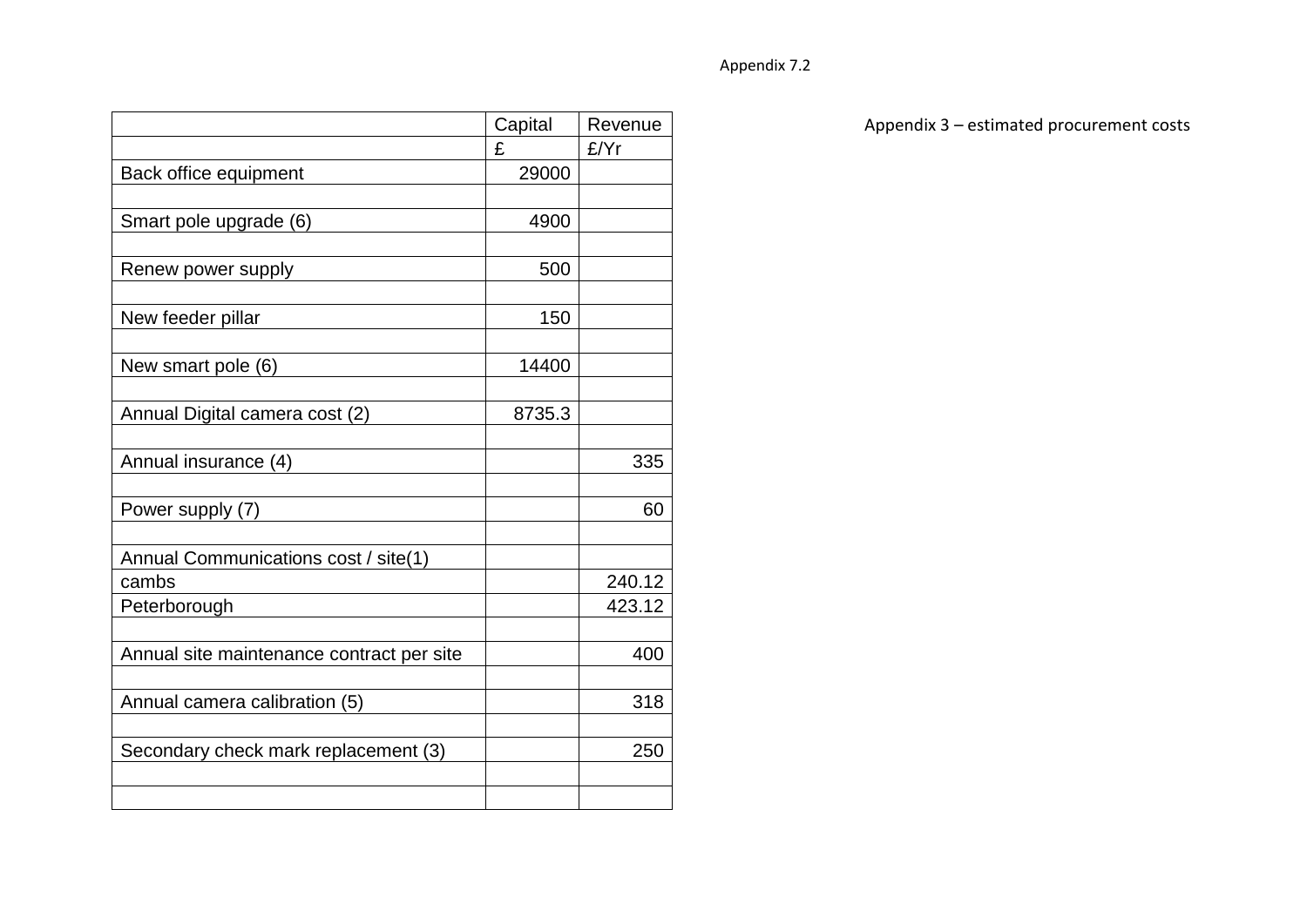|                                           | Capital | Revenue |
|-------------------------------------------|---------|---------|
|                                           | £       | £/Yr    |
| Back office equipment                     | 29000   |         |
|                                           |         |         |
| Smart pole upgrade (6)                    | 4900    |         |
|                                           |         |         |
| Renew power supply                        | 500     |         |
|                                           |         |         |
| New feeder pillar                         | 150     |         |
|                                           |         |         |
| New smart pole (6)                        | 14400   |         |
|                                           |         |         |
| Annual Digital camera cost (2)            | 8735.3  |         |
|                                           |         |         |
| Annual insurance (4)                      |         | 335     |
|                                           |         |         |
| Power supply (7)                          |         | 60      |
|                                           |         |         |
| Annual Communications cost / site(1)      |         |         |
| cambs                                     |         | 240.12  |
| Peterborough                              |         | 423.12  |
|                                           |         |         |
| Annual site maintenance contract per site |         | 400     |
|                                           |         |         |
| Annual camera calibration (5)             |         | 318     |
|                                           |         |         |
| Secondary check mark replacement (3)      |         | 250     |
|                                           |         |         |
|                                           |         |         |